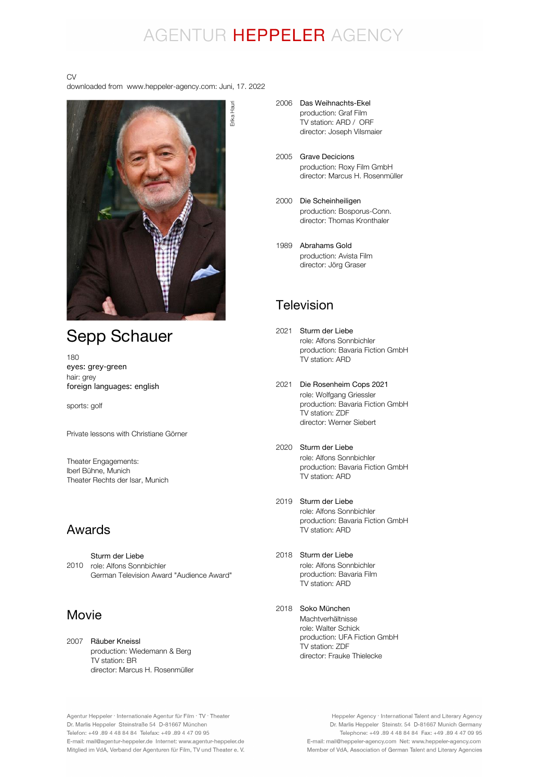## AGENTUR HEPPELER AGENCY

#### CV

downloaded from www.heppeler-agency.com: Juni, 17. 2022



## Sepp Schauer

180 eyes: grey-green hair: grey foreign languages: english

sports: golf

Private lessons with Christiane Görner

Theater Engagements: Iberl Bühne, Munich Theater Rechts der Isar, Munich

#### Awards

2010 role: Alfons Sonnbichler German Television Award "Audience Award" Sturm der Liebe

### Movie

2007 Räuber Kneissl production: Wiedemann & Berg TV station: BR director: Marcus H. Rosenmüller

- 2006 Das Weihnachts-Ekel production: Graf Film TV station: ARD / ORF director: Joseph Vilsmaier
- 2005 Grave Decicions production: Roxy Film GmbH director: Marcus H. Rosenmüller
- 2000 Die Scheinheiligen production: Bosporus-Conn. director: Thomas Kronthaler
- 1989 Abrahams Gold production: Avista Film director: Jörg Graser

### Television

- 2021 Sturm der Liebe role: Alfons Sonnbichler production: Bavaria Fiction GmbH .<br>TV station: ARD
- 2021 Die Rosenheim Cops 2021 role: Wolfgang Griessler production: Bavaria Fiction GmbH TV station: ZDF director: Werner Siebert
- 2020 Sturm der Liebe role: Alfons Sonnbichler production: Bavaria Fiction GmbH TV station: ARD
- 2019 Sturm der Liebe role: Alfons Sonnbichler production: Bavaria Fiction GmbH TV station: ARD
- 2018 Sturm der Liebe role: Alfons Sonnbichler production: Bavaria Film .<br>TV station: ARD
- 2018 Soko MünchenMachtverhältnisse

role: Walter Schick production: UFA Fiction GmbH TV station: ZDF director: Frauke Thielecke

Agentur Heppeler · Internationale Agentur für Film · TV · Theater Dr. Marlis Heppeler Steinstraße 54 D-81667 München Telefon: +49.89 4 48 84 84 Telefax: +49.89 4 47 09 95 E-mail: mail@agentur-heppeler.de Internet: www.agentur-heppeler.de Mitglied im VdA, Verband der Agenturen für Film, TV und Theater e. V.

Heppeler Agency · International Talent and Literary Agency Dr. Marlis Heppeler Steinstr. 54 D-81667 Munich Germany Telephone: +49 .89 4 48 84 84 Fax: +49 .89 4 47 09 95 E-mail: mail@heppeler-agency.com Net: www.heppeler-agency.com Member of VdA, Association of German Talent and Literary Agencies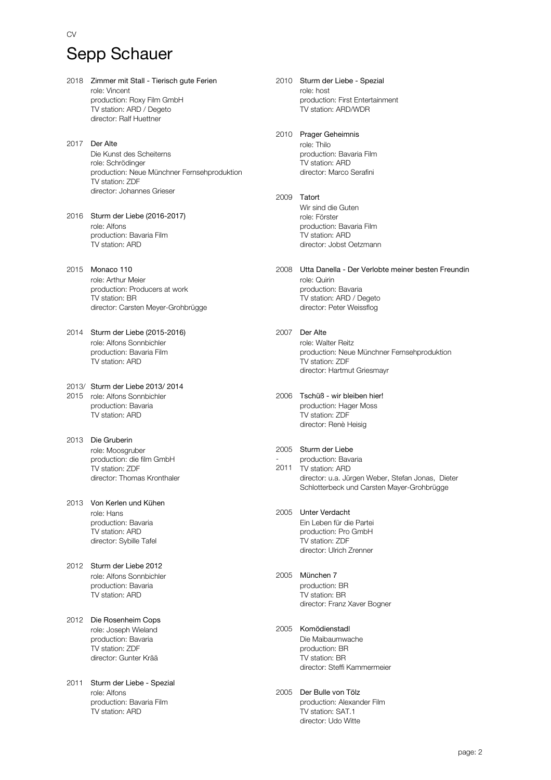## Sepp Schauer

 $C<sub>N</sub>$ 

- 2018 Zimmer mit Stall Tierisch gute Ferien role: Vincent production: Roxy Film GmbH TV station: ARD / Degeto director: Ralf Huettner
- 2017 Der Alte Die Kunst des Scheiterns role: Schrödinger production: Neue Münchner Fernsehproduktion TV station: ZDF director: Johannes Grieser
- 2016 Sturm der Liebe (2016-2017) role: Alfons production: Bavaria Film TV station: ARD
- 2015 Monaco 110 role: Arthur Meier production: Producers at work TV station: BR director: Carsten Meyer-Grohbrügge
- 2014 Sturm der Liebe (2015-2016) role: Alfons Sonnbichler production: Bavaria Film TV station: ARD
- 2013/ Sturm der Liebe 2013/ 2014 2015 role: Alfons Sonnbichler production: Bavaria TV station: ARD
- 2013 Die Gruberin role: Moosgruber production: die film GmbH TV station: ZDF director: Thomas Kronthaler
- 2013 Von Kerlen und Kühen role: Hans production: Bavaria TV station: ARD director: Sybille Tafel
- 2012 Sturm der Liebe 2012 role: Alfons Sonnbichler production: Bavaria TV station: ARD
- 2012 Die Rosenheim Cops role: Joseph Wieland production: Bavaria TV station: ZDF director: Gunter Krää
- 2011 Sturm der Liebe Spezial role: Alfons production: Bavaria Film TV station: ARD
- 2010 Sturm der Liebe Spezial role: host production: First Entertainment TV station: ARD/WDR
- 2010 Prager Geheimnis role: Thilo

production: Bavaria Film TV station: ARD director: Marco Serafini

- 2009 Tatort Wir sind die Guten role: Förster production: Bavaria Film TV station: ARD director: Jobst Oetzmann
- 2008 Utta Danella Der Verlobte meiner besten Freundin role: Quirin production: Bavaria TV station: ARD / Degeto director: Peter Weissflog
- 2007 Der Alte role: Walter Reitz production: Neue Münchner Fernsehproduktion TV station: ZDF director: Hartmut Griesmayr
- 2006 Tschüß wir bleiben hier! production: Hager Moss TV station: ZDF director: Renè Heisig

#### 2005 Sturm der Liebe

- 2011 TV station: ARD production: Bavaria director: u.a. Jürgen Weber, Stefan Jonas, Dieter Schlotterbeck und Carsten Mayer-Grohbrügge
- 2005 Unter Verdacht Ein Leben für die Partei production: Pro GmbH TV station: ZDF director: Ulrich Zrenner
- 2005 München 7 production: BR TV station: BR director: Franz Xaver Bogner
- 2005 Komödienstadl Die Maibaumwache production: BR TV station: BR director: Steffi Kammermeier
- 2005 Der Bulle von Tölz production: Alexander Film TV station: SAT.1 director: Udo Witte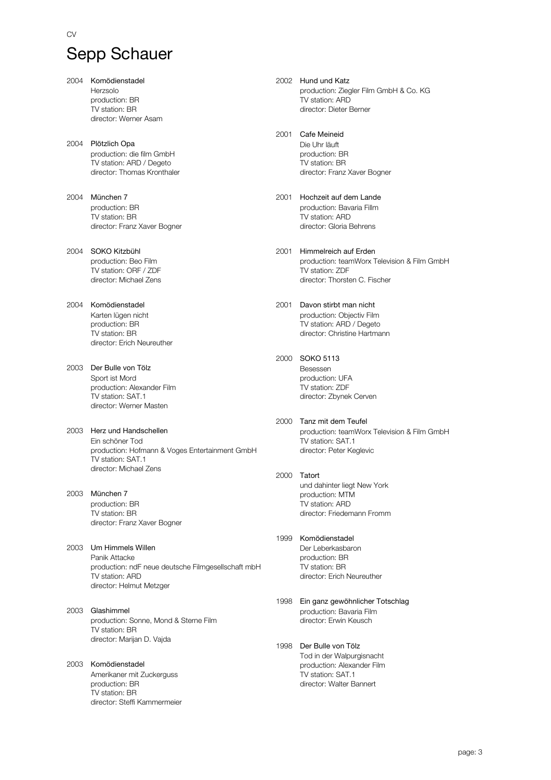# Sepp Schauer

- 2004 Komödienstadel Herzsolo production: BR TV station: BR director: Werner Asam
- 2004 Plötzlich Opa production: die film GmbH TV station: ARD / Degeto director: Thomas Kronthaler
- 2004 München 7 production: BR TV station: BR director: Franz Xaver Bogner
- 2004 SOKO Kitzbühl production: Beo Film TV station: ORF / ZDF director: Michael Zens
- 2004 Komödienstadel Karten lügen nicht production: BR TV station: BR director: Erich Neureuther
- 2003 Der Bulle von Tölz Sport ist Mord production: Alexander Film TV station: SAT.1 director: Werner Masten
- 2003 Herz und Handschellen Ein schöner Tod production: Hofmann & Voges Entertainment GmbH TV station: SAT.1 director: Michael Zens
- 2003 München 7 production: BR TV station: BR director: Franz Xaver Bogner
- 2003 Um Himmels Willen Panik Attacke production: ndF neue deutsche Filmgesellschaft mbH TV station: ARD director: Helmut Metzger
- 2003 Glashimmel production: Sonne, Mond & Sterne Film TV station: BR director: Marijan D. Vajda
- 2003 Komödienstadel Amerikaner mit Zuckerguss production: BR TV station: BR director: Steffi Kammermeier
- 2002 Hund und Katz production: Ziegler Film GmbH & Co. KG TV station: ARD director: Dieter Berner
- 2001 Cafe Meineid Die Uhr läuft production: BR TV station: BR director: Franz Xaver Bogner
- 2001 Hochzeit auf dem Lande production: Bavaria Fillm TV station: ARD director: Gloria Behrens
- 2001 Himmelreich auf Erden production: teamWorx Television & Film GmbH TV station: ZDF director: Thorsten C. Fischer
- 2001 Davon stirbt man nicht production: Objectiv Film TV station: ARD / Degeto director: Christine Hartmann
- 2000 SOKO 5113 Besessen production: UFA TV station: ZDF director: Zbynek Cerven
- 2000 Tanz mit dem Teufel production: teamWorx Television & Film GmbH TV station: SAT.1 director: Peter Keglevic
- 2000 Tatort und dahinter liegt New York production: MTM TV station: ARD director: Friedemann Fromm
- 1999 Komödienstadel Der Leberkasbaron production: BR TV station: BR director: Erich Neureuther
- 1998 Ein ganz gewöhnlicher Totschlag production: Bavaria Film director: Erwin Keusch
- 1998 Der Bulle von Tölz Tod in der Walpurgisnacht production: Alexander Film TV station: SAT.1 director: Walter Bannert